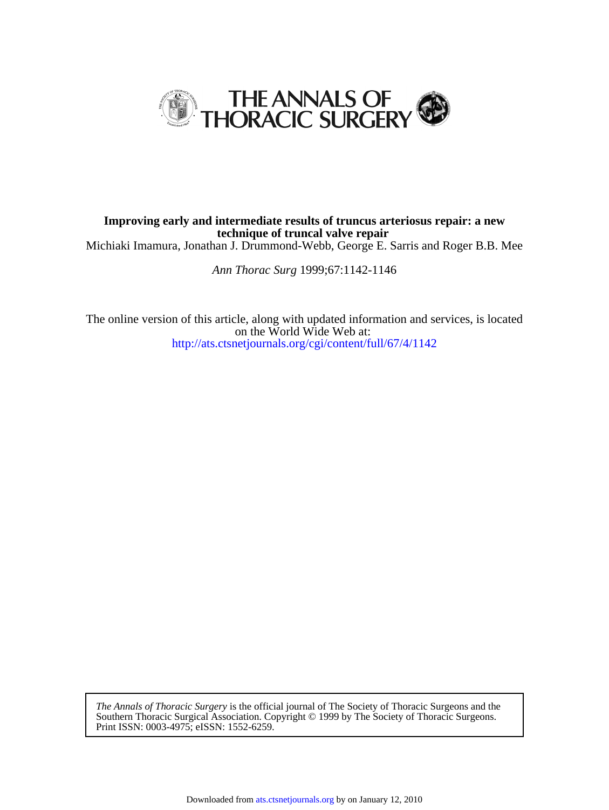

Michiaki Imamura, Jonathan J. Drummond-Webb, George E. Sarris and Roger B.B. Mee **technique of truncal valve repair Improving early and intermediate results of truncus arteriosus repair: a new**

*Ann Thorac Surg* 1999;67:1142-1146

<http://ats.ctsnetjournals.org/cgi/content/full/67/4/1142> on the World Wide Web at: The online version of this article, along with updated information and services, is located

Print ISSN: 0003-4975; eISSN: 1552-6259. Southern Thoracic Surgical Association. Copyright © 1999 by The Society of Thoracic Surgeons. *The Annals of Thoracic Surgery* is the official journal of The Society of Thoracic Surgeons and the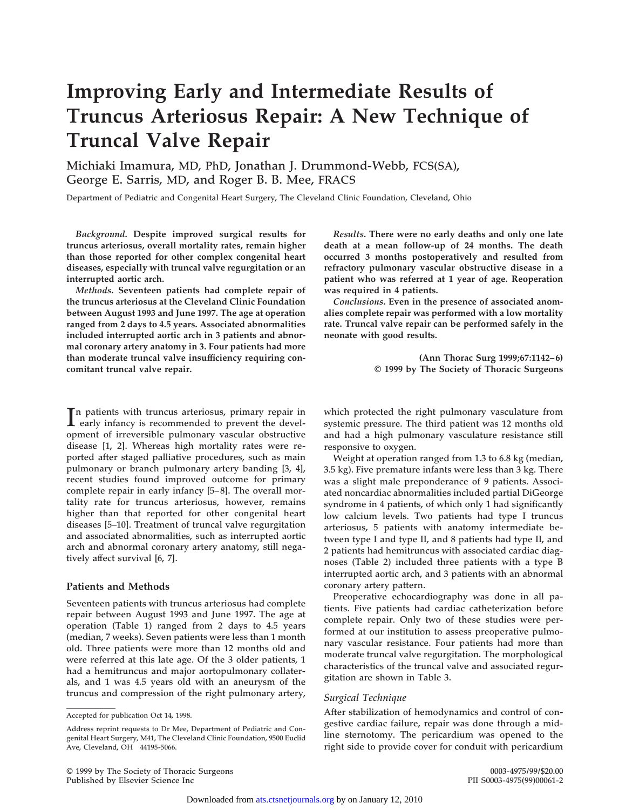# **Improving Early and Intermediate Results of Truncus Arteriosus Repair: A New Technique of Truncal Valve Repair**

**Michiaki Imamura, MD, PhD, Jonathan J. Drummond-Webb, FCS(SA), George E. Sarris, MD, and Roger B. B. Mee, FRACS**

**Department of Pediatric and Congenital Heart Surgery, The Cleveland Clinic Foundation, Cleveland, Ohio**

*Background***. Despite improved surgical results for truncus arteriosus, overall mortality rates, remain higher than those reported for other complex congenital heart diseases, especially with truncal valve regurgitation or an interrupted aortic arch.**

*Methods***. Seventeen patients had complete repair of the truncus arteriosus at the Cleveland Clinic Foundation between August 1993 and June 1997. The age at operation ranged from 2 days to 4.5 years. Associated abnormalities included interrupted aortic arch in 3 patients and abnormal coronary artery anatomy in 3. Four patients had more than moderate truncal valve insufficiency requiring concomitant truncal valve repair.**

In patients with truncus arteriosus, primary repair in early infancy is recommended to prevent the devel**early infancy is recommended to prevent the development of irreversible pulmonary vascular obstructive disease [1, 2]. Whereas high mortality rates were reported after staged palliative procedures, such as main pulmonary or branch pulmonary artery banding [3, 4], recent studies found improved outcome for primary complete repair in early infancy [5–8]. The overall mortality rate for truncus arteriosus, however, remains higher than that reported for other congenital heart diseases [5–10]. Treatment of truncal valve regurgitation and associated abnormalities, such as interrupted aortic arch and abnormal coronary artery anatomy, still negatively affect survival [6, 7].**

#### **Patients and Methods**

**Seventeen patients with truncus arteriosus had complete repair between August 1993 and June 1997. The age at operation (Table 1) ranged from 2 days to 4.5 years (median, 7 weeks). Seven patients were less than 1 month old. Three patients were more than 12 months old and were referred at this late age. Of the 3 older patients, 1 had a hemitruncus and major aortopulmonary collaterals, and 1 was 4.5 years old with an aneurysm of the truncus and compression of the right pulmonary artery,**

*Results***. There were no early deaths and only one late death at a mean follow-up of 24 months. The death occurred 3 months postoperatively and resulted from refractory pulmonary vascular obstructive disease in a patient who was referred at 1 year of age. Reoperation was required in 4 patients.**

*Conclusions***. Even in the presence of associated anomalies complete repair was performed with a low mortality rate. Truncal valve repair can be performed safely in the neonate with good results.**

> **(Ann Thorac Surg 1999;67:1142–6) © 1999 by The Society of Thoracic Surgeons**

**which protected the right pulmonary vasculature from systemic pressure. The third patient was 12 months old and had a high pulmonary vasculature resistance still responsive to oxygen.**

**Weight at operation ranged from 1.3 to 6.8 kg (median, 3.5 kg). Five premature infants were less than 3 kg. There was a slight male preponderance of 9 patients. Associated noncardiac abnormalities included partial DiGeorge syndrome in 4 patients, of which only 1 had significantly low calcium levels. Two patients had type I truncus arteriosus, 5 patients with anatomy intermediate between type I and type II, and 8 patients had type II, and 2 patients had hemitruncus with associated cardiac diagnoses (Table 2) included three patients with a type B interrupted aortic arch, and 3 patients with an abnormal coronary artery pattern.**

**Preoperative echocardiography was done in all patients. Five patients had cardiac catheterization before complete repair. Only two of these studies were performed at our institution to assess preoperative pulmonary vascular resistance. Four patients had more than moderate truncal valve regurgitation. The morphological characteristics of the truncal valve and associated regurgitation are shown in Table 3.**

#### *Surgical Technique*

**After stabilization of hemodynamics and control of congestive cardiac failure, repair was done through a midline sternotomy. The pericardium was opened to the right side to provide cover for conduit with pericardium**

**© 1999 by The Society of Thoracic Surgeons 0003-4975/99/\$20.00 Published by Elsevier Science Inc** 

**Accepted for publication Oct 14, 1998.**

**Address reprint requests to Dr Mee, Department of Pediatric and Congenital Heart Surgery, M41, The Cleveland Clinic Foundation, 9500 Euclid Ave, Cleveland, OH 44195-5066.**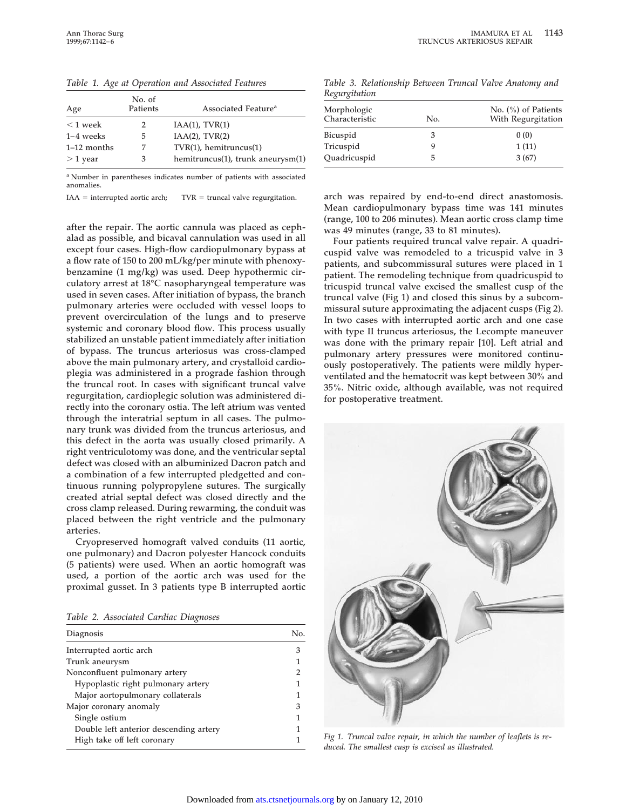| Age           | No. of<br>Patients | Associated Feature <sup>a</sup>   |
|---------------|--------------------|-----------------------------------|
| $<$ 1 week    | 2                  | $IAA(1)$ , TVR $(1)$              |
| $1-4$ weeks   | 5                  | $IAA(2)$ , TVR $(2)$              |
| $1-12$ months | 7                  | $TVR(1)$ , hemitruncus $(1)$      |
| $>1$ year     | 3                  | hemitruncus(1), trunk aneurysm(1) |

*Table 1. Age at Operation and Associated Features*

**<sup>a</sup> Number in parentheses indicates number of patients with associated anomalies.**

 $IAA =$  interrupted aortic arch;  $TVR =$  truncal valve regurgitation.

**after the repair. The aortic cannula was placed as cephalad as possible, and bicaval cannulation was used in all except four cases. High-flow cardiopulmonary bypass at a flow rate of 150 to 200 mL/kg/per minute with phenoxybenzamine (1 mg/kg) was used. Deep hypothermic circulatory arrest at 18°C nasopharyngeal temperature was used in seven cases. After initiation of bypass, the branch pulmonary arteries were occluded with vessel loops to prevent overcirculation of the lungs and to preserve systemic and coronary blood flow. This process usually stabilized an unstable patient immediately after initiation of bypass. The truncus arteriosus was cross-clamped above the main pulmonary artery, and crystalloid cardioplegia was administered in a prograde fashion through the truncal root. In cases with significant truncal valve regurgitation, cardioplegic solution was administered directly into the coronary ostia. The left atrium was vented through the interatrial septum in all cases. The pulmonary trunk was divided from the truncus arteriosus, and this defect in the aorta was usually closed primarily. A right ventriculotomy was done, and the ventricular septal defect was closed with an albuminized Dacron patch and a combination of a few interrupted pledgetted and continuous running polypropylene sutures. The surgically created atrial septal defect was closed directly and the cross clamp released. During rewarming, the conduit was placed between the right ventricle and the pulmonary arteries.**

**Cryopreserved homograft valved conduits (11 aortic, one pulmonary) and Dacron polyester Hancock conduits (5 patients) were used. When an aortic homograft was used, a portion of the aortic arch was used for the proximal gusset. In 3 patients type B interrupted aortic**

*Table 2. Associated Cardiac Diagnoses*

| Diagnosis                              | No. |
|----------------------------------------|-----|
| Interrupted aortic arch                | 3   |
| Trunk aneurysm                         |     |
| Nonconfluent pulmonary artery          | っ   |
| Hypoplastic right pulmonary artery     |     |
| Major aortopulmonary collaterals       |     |
| Major coronary anomaly                 | з   |
| Single ostium                          |     |
| Double left anterior descending artery |     |
| High take off left coronary            |     |

*Table 3. Relationship Between Truncal Valve Anatomy and Regurgitation*

| Morphologic<br>Characteristic | No. | No. $(\%)$ of Patients<br>With Regurgitation |  |
|-------------------------------|-----|----------------------------------------------|--|
| Bicuspid                      | 3   | 0(0)                                         |  |
| Tricuspid                     | 9   | 1(11)                                        |  |
| Quadricuspid                  | 5   | 3(67)                                        |  |

**arch was repaired by end-to-end direct anastomosis. Mean cardiopulmonary bypass time was 141 minutes (range, 100 to 206 minutes). Mean aortic cross clamp time was 49 minutes (range, 33 to 81 minutes).**

**Four patients required truncal valve repair. A quadricuspid valve was remodeled to a tricuspid valve in 3 patients, and subcommissural sutures were placed in 1 patient. The remodeling technique from quadricuspid to tricuspid truncal valve excised the smallest cusp of the truncal valve (Fig 1) and closed this sinus by a subcommissural suture approximating the adjacent cusps (Fig 2). In two cases with interrupted aortic arch and one case with type II truncus arteriosus, the Lecompte maneuver was done with the primary repair [10]. Left atrial and pulmonary artery pressures were monitored continuously postoperatively. The patients were mildly hyperventilated and the hematocrit was kept between 30% and 35%. Nitric oxide, although available, was not required for postoperative treatment.**



*Fig 1. Truncal valve repair, in which the number of leaflets is reduced. The smallest cusp is excised as illustrated.*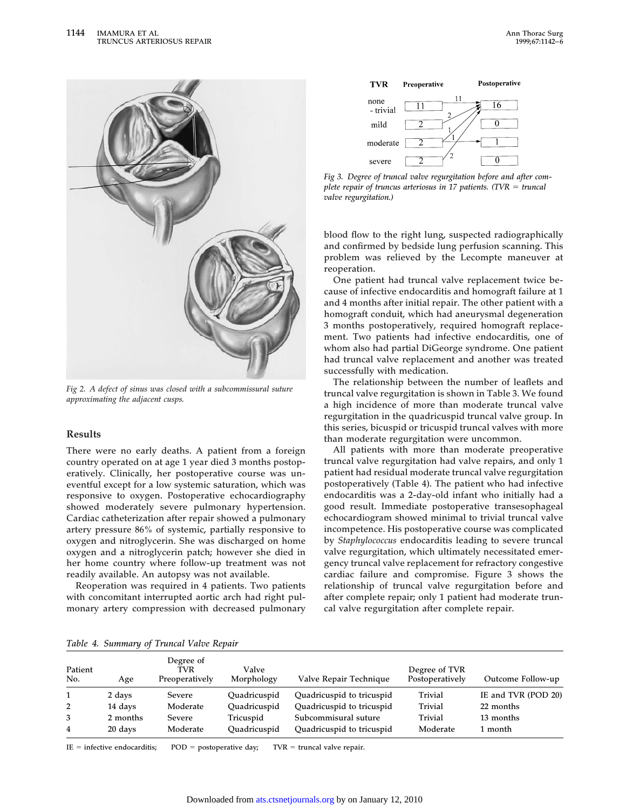

*Fig 2. A defect of sinus was closed with a subcommissural suture approximating the adjacent cusps.*

#### **Results**

**There were no early deaths. A patient from a foreign country operated on at age 1 year died 3 months postoperatively. Clinically, her postoperative course was uneventful except for a low systemic saturation, which was responsive to oxygen. Postoperative echocardiography showed moderately severe pulmonary hypertension. Cardiac catheterization after repair showed a pulmonary artery pressure 86% of systemic, partially responsive to oxygen and nitroglycerin. She was discharged on home oxygen and a nitroglycerin patch; however she died in her home country where follow-up treatment was not readily available. An autopsy was not available.**

**Reoperation was required in 4 patients. Two patients with concomitant interrupted aortic arch had right pulmonary artery compression with decreased pulmonary**



*Fig 3. Degree of truncal valve regurgitation before and after complete repair of truncus arteriosus in 17 patients. (TVR = truncal valve regurgitation.)*

**blood flow to the right lung, suspected radiographically and confirmed by bedside lung perfusion scanning. This problem was relieved by the Lecompte maneuver at reoperation.**

**One patient had truncal valve replacement twice because of infective endocarditis and homograft failure at 1 and 4 months after initial repair. The other patient with a homograft conduit, which had aneurysmal degeneration 3 months postoperatively, required homograft replacement. Two patients had infective endocarditis, one of whom also had partial DiGeorge syndrome. One patient had truncal valve replacement and another was treated successfully with medication.**

**The relationship between the number of leaflets and truncal valve regurgitation is shown in Table 3. We found a high incidence of more than moderate truncal valve regurgitation in the quadricuspid truncal valve group. In this series, bicuspid or tricuspid truncal valves with more than moderate regurgitation were uncommon.**

**All patients with more than moderate preoperative truncal valve regurgitation had valve repairs, and only 1 patient had residual moderate truncal valve regurgitation postoperatively (Table 4). The patient who had infective endocarditis was a 2-day-old infant who initially had a good result. Immediate postoperative transesophageal echocardiogram showed minimal to trivial truncal valve incompetence. His postoperative course was complicated by** *Staphylococcus* **endocarditis leading to severe truncal valve regurgitation, which ultimately necessitated emergency truncal valve replacement for refractory congestive cardiac failure and compromise. Figure 3 shows the relationship of truncal valve regurgitation before and after complete repair; only 1 patient had moderate truncal valve regurgitation after complete repair.**

*Table 4. Summary of Truncal Valve Repair*

| Patient<br>No. | Age      | Degree of<br>TVR<br>Preoperatively | Valve<br>Morphology | Valve Repair Technique    | Degree of TVR<br>Postoperatively | Outcome Follow-up   |
|----------------|----------|------------------------------------|---------------------|---------------------------|----------------------------------|---------------------|
|                | 2 days   | Severe                             | Quadricuspid        | Quadricuspid to tricuspid | Trivial                          | IE and TVR (POD 20) |
| 2              | 14 days  | Moderate                           | Quadricuspid        | Quadricuspid to tricuspid | Trivial                          | 22 months           |
| 3              | 2 months | Severe                             | Tricuspid           | Subcommisural suture      | Trivial                          | 13 months           |
| $\overline{4}$ | 20 days  | Moderate                           | Quadricuspid        | Quadricuspid to tricuspid | Moderate                         | 1 month             |

 $IE =$  **infective endocarditis;** POD = postoperative day; TVR = truncal valve repair.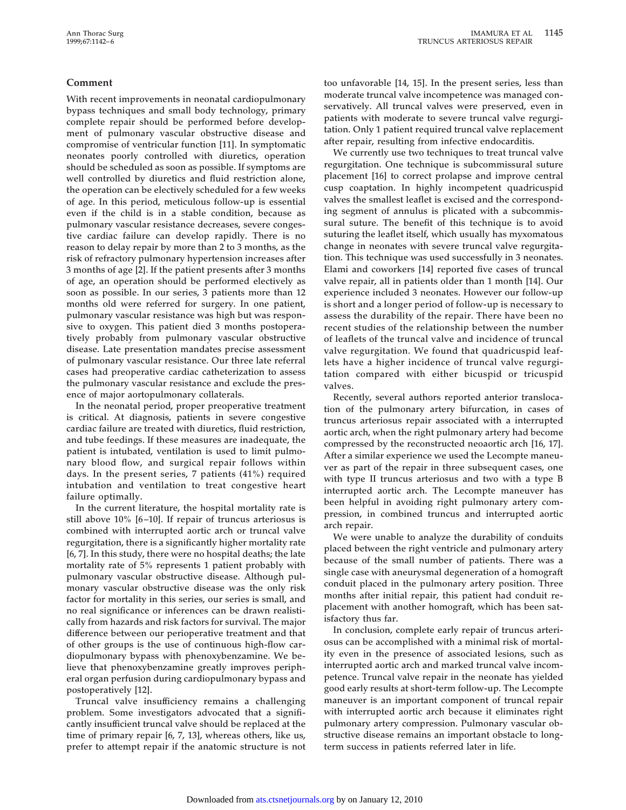**With recent improvements in neonatal cardiopulmonary bypass techniques and small body technology, primary complete repair should be performed before development of pulmonary vascular obstructive disease and compromise of ventricular function [11]. In symptomatic neonates poorly controlled with diuretics, operation should be scheduled as soon as possible. If symptoms are well controlled by diuretics and fluid restriction alone, the operation can be electively scheduled for a few weeks of age. In this period, meticulous follow-up is essential even if the child is in a stable condition, because as pulmonary vascular resistance decreases, severe congestive cardiac failure can develop rapidly. There is no reason to delay repair by more than 2 to 3 months, as the risk of refractory pulmonary hypertension increases after 3 months of age [2]. If the patient presents after 3 months of age, an operation should be performed electively as soon as possible. In our series, 3 patients more than 12 months old were referred for surgery. In one patient, pulmonary vascular resistance was high but was responsive to oxygen. This patient died 3 months postoperatively probably from pulmonary vascular obstructive disease. Late presentation mandates precise assessment of pulmonary vascular resistance. Our three late referral cases had preoperative cardiac catheterization to assess the pulmonary vascular resistance and exclude the presence of major aortopulmonary collaterals.**

**In the neonatal period, proper preoperative treatment is critical. At diagnosis, patients in severe congestive cardiac failure are treated with diuretics, fluid restriction, and tube feedings. If these measures are inadequate, the patient is intubated, ventilation is used to limit pulmonary blood flow, and surgical repair follows within days. In the present series, 7 patients (41%) required intubation and ventilation to treat congestive heart failure optimally.**

**In the current literature, the hospital mortality rate is still above 10% [6–10]. If repair of truncus arteriosus is combined with interrupted aortic arch or truncal valve regurgitation, there is a significantly higher mortality rate [6, 7]. In this study, there were no hospital deaths; the late mortality rate of 5% represents 1 patient probably with pulmonary vascular obstructive disease. Although pulmonary vascular obstructive disease was the only risk factor for mortality in this series, our series is small, and no real significance or inferences can be drawn realistically from hazards and risk factors for survival. The major difference between our perioperative treatment and that of other groups is the use of continuous high-flow cardiopulmonary bypass with phenoxybenzamine. We believe that phenoxybenzamine greatly improves peripheral organ perfusion during cardiopulmonary bypass and postoperatively [12].**

**Truncal valve insufficiency remains a challenging problem. Some investigators advocated that a significantly insufficient truncal valve should be replaced at the time of primary repair [6, 7, 13], whereas others, like us, prefer to attempt repair if the anatomic structure is not** **too unfavorable [14, 15]. In the present series, less than moderate truncal valve incompetence was managed conservatively. All truncal valves were preserved, even in patients with moderate to severe truncal valve regurgitation. Only 1 patient required truncal valve replacement after repair, resulting from infective endocarditis.**

**We currently use two techniques to treat truncal valve regurgitation. One technique is subcommissural suture placement [16] to correct prolapse and improve central cusp coaptation. In highly incompetent quadricuspid valves the smallest leaflet is excised and the corresponding segment of annulus is plicated with a subcommissural suture. The benefit of this technique is to avoid suturing the leaflet itself, which usually has myxomatous change in neonates with severe truncal valve regurgitation. This technique was used successfully in 3 neonates. Elami and coworkers [14] reported five cases of truncal valve repair, all in patients older than 1 month [14]. Our experience included 3 neonates. However our follow-up is short and a longer period of follow-up is necessary to assess the durability of the repair. There have been no recent studies of the relationship between the number of leaflets of the truncal valve and incidence of truncal valve regurgitation. We found that quadricuspid leaflets have a higher incidence of truncal valve regurgitation compared with either bicuspid or tricuspid valves.**

**Recently, several authors reported anterior translocation of the pulmonary artery bifurcation, in cases of truncus arteriosus repair associated with a interrupted aortic arch, when the right pulmonary artery had become compressed by the reconstructed neoaortic arch [16, 17]. After a similar experience we used the Lecompte maneuver as part of the repair in three subsequent cases, one with type II truncus arteriosus and two with a type B interrupted aortic arch. The Lecompte maneuver has been helpful in avoiding right pulmonary artery compression, in combined truncus and interrupted aortic arch repair.**

**We were unable to analyze the durability of conduits placed between the right ventricle and pulmonary artery because of the small number of patients. There was a single case with aneurysmal degeneration of a homograft conduit placed in the pulmonary artery position. Three months after initial repair, this patient had conduit replacement with another homograft, which has been satisfactory thus far.**

**In conclusion, complete early repair of truncus arteriosus can be accomplished with a minimal risk of mortality even in the presence of associated lesions, such as interrupted aortic arch and marked truncal valve incompetence. Truncal valve repair in the neonate has yielded good early results at short-term follow-up. The Lecompte maneuver is an important component of truncal repair with interrupted aortic arch because it eliminates right pulmonary artery compression. Pulmonary vascular obstructive disease remains an important obstacle to longterm success in patients referred later in life.**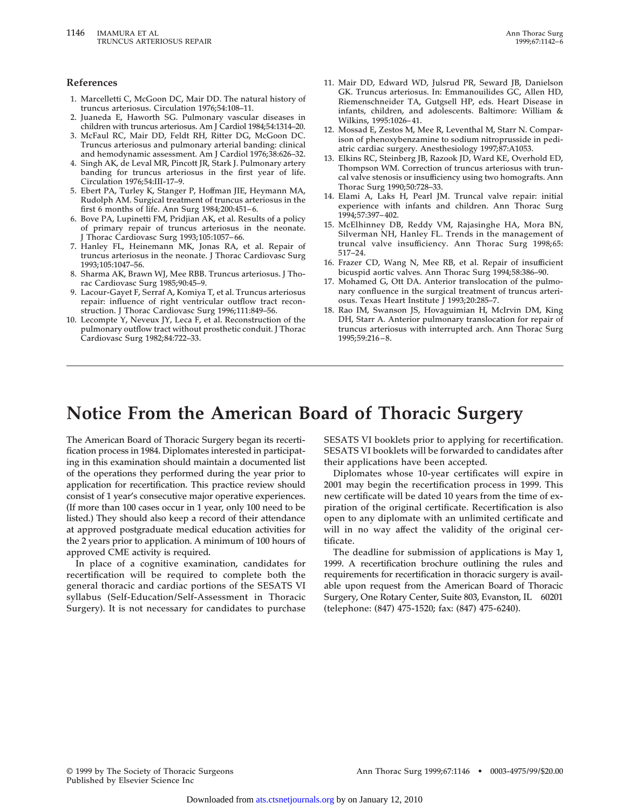#### **References**

- **1. Marcelletti C, McGoon DC, Mair DD. The natural history of truncus arteriosus. Circulation 1976;54:108–11.**
- **2. Juaneda E, Haworth SG. Pulmonary vascular diseases in children with truncus arteriosus. Am J Cardiol 1984;54:1314–20.**
- **3. McFaul RC, Mair DD, Feldt RH, Ritter DG, McGoon DC. Truncus arteriosus and pulmonary arterial banding: clinical and hemodynamic assessment. Am J Cardiol 1976;38:626–32.**
- **4. Singh AK, de Leval MR, Pincott JR, Stark J. Pulmonary artery banding for truncus arteriosus in the first year of life. Circulation 1976;54:III-17–9.**
- **5. Ebert PA, Turley K, Stanger P, Hoffman JIE, Heymann MA, Rudolph AM. Surgical treatment of truncus arteriosus in the first 6 months of life. Ann Surg 1984;200:451–6.**
- **6. Bove PA, Lupinetti FM, Pridjian AK, et al. Results of a policy of primary repair of truncus arteriosus in the neonate. J Thorac Cardiovasc Surg 1993;105:1057–66.**
- **7. Hanley FL, Heinemann MK, Jonas RA, et al. Repair of truncus arteriosus in the neonate. J Thorac Cardiovasc Surg 1993;105:1047–56.**
- **8. Sharma AK, Brawn WJ, Mee RBB. Truncus arteriosus. J Thorac Cardiovasc Surg 1985;90:45–9.**
- **9. Lacour-Gayet F, Serraf A, Komiya T, et al. Truncus arteriosus repair: influence of right ventricular outflow tract reconstruction. J Thorac Cardiovasc Surg 1996;111:849–56.**
- **10. Lecompte Y, Neveux JY, Leca F, et al. Reconstruction of the pulmonary outflow tract without prosthetic conduit. J Thorac Cardiovasc Surg 1982;84:722–33.**
- **11. Mair DD, Edward WD, Julsrud PR, Seward JB, Danielson GK. Truncus arteriosus. In: Emmanouilides GC, Allen HD, Riemenschneider TA, Gutgsell HP, eds. Heart Disease in infants, children, and adolescents. Baltimore: William & Wilkins, 1995:1026–41.**
- **12. Mossad E, Zestos M, Mee R, Leventhal M, Starr N. Comparison of phenoxybenzamine to sodium nitroprusside in pediatric cardiac surgery. Anesthesiology 1997;87:A1053.**
- **13. Elkins RC, Steinberg JB, Razook JD, Ward KE, Overhold ED, Thompson WM. Correction of truncus arteriosus with truncal valve stenosis or insufficiency using two homografts. Ann Thorac Surg 1990;50:728–33.**
- **14. Elami A, Laks H, Pearl JM. Truncal valve repair: initial experience with infants and children. Ann Thorac Surg 1994;57:397–402.**
- **15. McElhinney DB, Reddy VM, Rajasinghe HA, Mora BN, Silverman NH, Hanley FL. Trends in the management of truncal valve insufficiency. Ann Thorac Surg 1998;65: 517–24.**
- **16. Frazer CD, Wang N, Mee RB, et al. Repair of insufficient bicuspid aortic valves. Ann Thorac Surg 1994;58:386–90.**
- **17. Mohamed G, Ott DA. Anterior translocation of the pulmonary confluence in the surgical treatment of truncus arteriosus. Texas Heart Institute J 1993;20:285–7.**
- **18. Rao IM, Swanson JS, Hovaguimian H, McIrvin DM, King DH, Starr A. Anterior pulmonary translocation for repair of truncus arteriosus with interrupted arch. Ann Thorac Surg 1995;59:216–8.**

## **Notice From the American Board of Thoracic Surgery**

**The American Board of Thoracic Surgery began its recertification process in 1984. Diplomates interested in participating in this examination should maintain a documented list of the operations they performed during the year prior to application for recertification. This practice review should consist of 1 year's consecutive major operative experiences. (If more than 100 cases occur in 1 year, only 100 need to be listed.) They should also keep a record of their attendance at approved postgraduate medical education activities for the 2 years prior to application. A minimum of 100 hours of approved CME activity is required.**

**In place of a cognitive examination, candidates for recertification will be required to complete both the general thoracic and cardiac portions of the SESATS VI syllabus (Self-Education/Self-Assessment in Thoracic Surgery). It is not necessary for candidates to purchase**

**SESATS VI booklets prior to applying for recertification. SESATS VI booklets will be forwarded to candidates after their applications have been accepted.**

**Diplomates whose 10-year certificates will expire in 2001 may begin the recertification process in 1999. This new certificate will be dated 10 years from the time of expiration of the original certificate. Recertification is also open to any diplomate with an unlimited certificate and will in no way affect the validity of the original certificate.**

**The deadline for submission of applications is May 1, 1999. A recertification brochure outlining the rules and requirements for recertification in thoracic surgery is available upon request from the American Board of Thoracic Surgery, One Rotary Center, Suite 803, Evanston, IL 60201 (telephone: (847) 475-1520; fax: (847) 475-6240).**